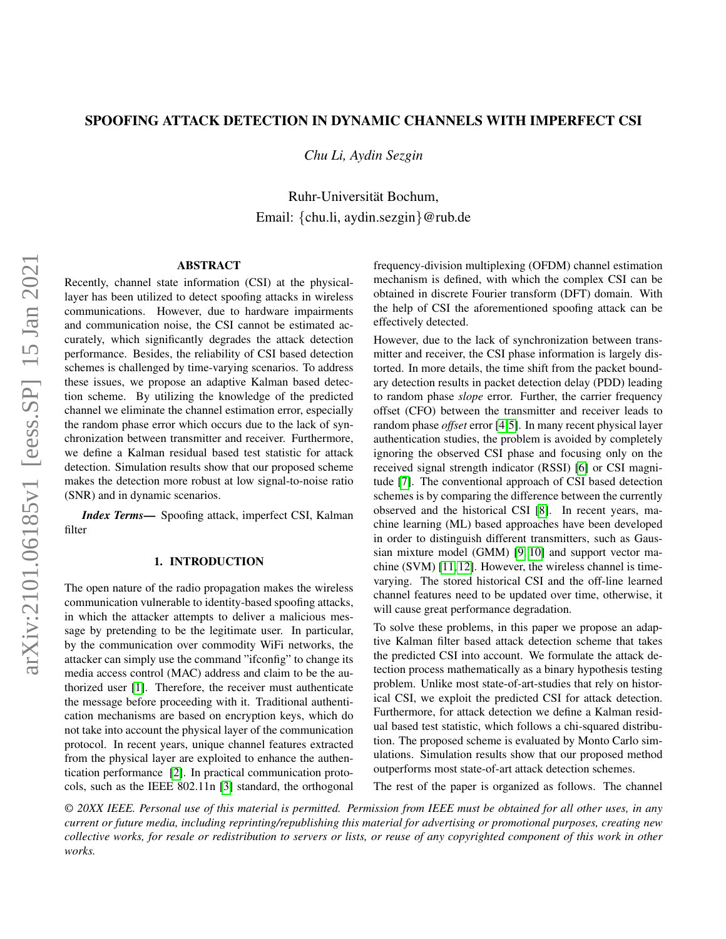# SPOOFING ATTACK DETECTION IN DYNAMIC CHANNELS WITH IMPERFECT CSI

*Chu Li, Aydin Sezgin*

Ruhr-Universität Bochum, Email: {chu.li, aydin.sezgin}@rub.de

### ABSTRACT

Recently, channel state information (CSI) at the physicallayer has been utilized to detect spoofing attacks in wireless communications. However, due to hardware impairments and communication noise, the CSI cannot be estimated accurately, which significantly degrades the attack detection performance. Besides, the reliability of CSI based detection schemes is challenged by time-varying scenarios. To address these issues, we propose an adaptive Kalman based detection scheme. By utilizing the knowledge of the predicted channel we eliminate the channel estimation error, especially the random phase error which occurs due to the lack of synchronization between transmitter and receiver. Furthermore, we define a Kalman residual based test statistic for attack detection. Simulation results show that our proposed scheme makes the detection more robust at low signal-to-noise ratio (SNR) and in dynamic scenarios.

*Index Terms*— Spoofing attack, imperfect CSI, Kalman filter

## 1. INTRODUCTION

The open nature of the radio propagation makes the wireless communication vulnerable to identity-based spoofing attacks, in which the attacker attempts to deliver a malicious message by pretending to be the legitimate user. In particular, by the communication over commodity WiFi networks, the attacker can simply use the command "ifconfig" to change its media access control (MAC) address and claim to be the authorized user [\[1\]](#page-3-0). Therefore, the receiver must authenticate the message before proceeding with it. Traditional authentication mechanisms are based on encryption keys, which do not take into account the physical layer of the communication protocol. In recent years, unique channel features extracted from the physical layer are exploited to enhance the authentication performance [\[2\]](#page-3-1). In practical communication protocols, such as the IEEE 802.11n [\[3\]](#page-3-2) standard, the orthogonal

frequency-division multiplexing (OFDM) channel estimation mechanism is defined, with which the complex CSI can be obtained in discrete Fourier transform (DFT) domain. With the help of CSI the aforementioned spoofing attack can be effectively detected.

However, due to the lack of synchronization between transmitter and receiver, the CSI phase information is largely distorted. In more details, the time shift from the packet boundary detection results in packet detection delay (PDD) leading to random phase *slope* error. Further, the carrier frequency offset (CFO) between the transmitter and receiver leads to random phase *offset* error [\[4,](#page-3-3)[5\]](#page-3-4). In many recent physical layer authentication studies, the problem is avoided by completely ignoring the observed CSI phase and focusing only on the received signal strength indicator (RSSI) [\[6\]](#page-3-5) or CSI magnitude [\[7\]](#page-4-0). The conventional approach of CSI based detection schemes is by comparing the difference between the currently observed and the historical CSI [\[8\]](#page-4-1). In recent years, machine learning (ML) based approaches have been developed in order to distinguish different transmitters, such as Gaussian mixture model (GMM) [\[9,](#page-4-2) [10\]](#page-4-3) and support vector machine (SVM) [\[11,](#page-4-4) [12\]](#page-4-5). However, the wireless channel is timevarying. The stored historical CSI and the off-line learned channel features need to be updated over time, otherwise, it will cause great performance degradation.

To solve these problems, in this paper we propose an adaptive Kalman filter based attack detection scheme that takes the predicted CSI into account. We formulate the attack detection process mathematically as a binary hypothesis testing problem. Unlike most state-of-art-studies that rely on historical CSI, we exploit the predicted CSI for attack detection. Furthermore, for attack detection we define a Kalman residual based test statistic, which follows a chi-squared distribution. The proposed scheme is evaluated by Monto Carlo simulations. Simulation results show that our proposed method outperforms most state-of-art attack detection schemes.

The rest of the paper is organized as follows. The channel

*© 20XX IEEE. Personal use of this material is permitted. Permission from IEEE must be obtained for all other uses, in any current or future media, including reprinting/republishing this material for advertising or promotional purposes, creating new collective works, for resale or redistribution to servers or lists, or reuse of any copyrighted component of this work in other works.*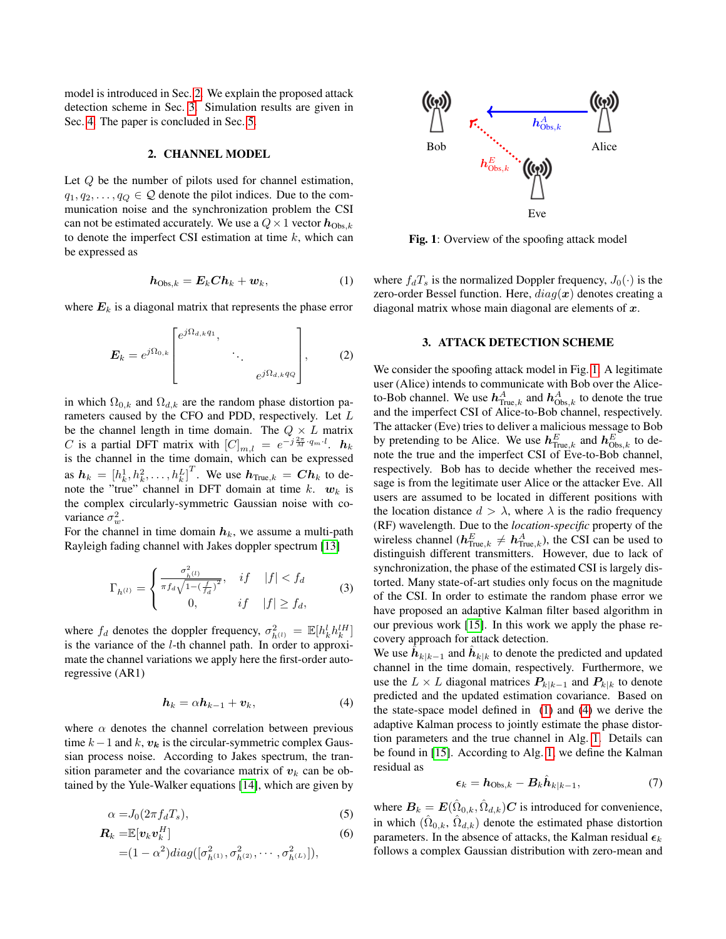model is introduced in Sec. [2.](#page-1-0) We explain the proposed attack detection scheme in Sec. [3.](#page-1-1) Simulation results are given in Sec. [4.](#page-2-0) The paper is concluded in Sec. [5.](#page-3-6)

### 2. CHANNEL MODEL

<span id="page-1-0"></span>Let Q be the number of pilots used for channel estimation,  $q_1, q_2, \ldots, q_Q \in \mathcal{Q}$  denote the pilot indices. Due to the communication noise and the synchronization problem the CSI can not be estimated accurately. We use a  $Q \times 1$  vector  $h_{\text{Obs},k}$ to denote the imperfect CSI estimation at time  $k$ , which can be expressed as

$$
h_{\text{Obs},k} = E_k Ch_k + w_k, \tag{1}
$$

where  $E_k$  is a diagonal matrix that represents the phase error

$$
\boldsymbol{E}_k = e^{j\Omega_{0,k}} \begin{bmatrix} e^{j\Omega_{d,k}q_1}, & & \\ & \ddots & \\ & & e^{j\Omega_{d,k}q_Q} \end{bmatrix}, \qquad (2)
$$

in which  $\Omega_{0,k}$  and  $\Omega_{d,k}$  are the random phase distortion parameters caused by the CFO and PDD, respectively. Let L be the channel length in time domain. The  $Q \times L$  matrix C is a partial DFT matrix with  $[C]_{m,l} = e^{-j\frac{2\pi}{M} \cdot q_m \cdot l}$ .  $h_k$ is the channel in the time domain, which can be expressed as  $\boldsymbol{h}_k = \left[h_k^1, h_k^2, \dots, h_k^L\right]^T$ . We use  $\boldsymbol{h}_{\text{True},k} = \boldsymbol{C} \boldsymbol{h}_k$  to denote the "true" channel in DFT domain at time k.  $w_k$  is the complex circularly-symmetric Gaussian noise with covariance  $\sigma_w^2$ .

For the channel in time domain  $h_k$ , we assume a multi-path Rayleigh fading channel with Jakes doppler spectrum [\[13\]](#page-4-6)

$$
\Gamma_{h^{(l)}} = \begin{cases} \frac{\sigma_{h^{(l)}}^2}{\pi f_d \sqrt{1 - (\frac{f}{f_d})^2}}, & \text{if} \quad |f| < f_d\\ 0, & \text{if} \quad |f| \ge f_d, \end{cases} \tag{3}
$$

where  $f_d$  denotes the doppler frequency,  $\sigma_{h^{(l)}}^2 = \mathbb{E}[h_k^l h_k^l]^H$ is the variance of the l-th channel path. In order to approximate the channel variations we apply here the first-order autoregressive (AR1)

$$
h_k = \alpha h_{k-1} + v_k, \tag{4}
$$

where  $\alpha$  denotes the channel correlation between previous time  $k-1$  and  $k$ ,  $v_k$  is the circular-symmetric complex Gaussian process noise. According to Jakes spectrum, the transition parameter and the covariance matrix of  $v_k$  can be obtained by the Yule-Walker equations [\[14\]](#page-4-7), which are given by

$$
\alpha = J_0(2\pi f_d T_s),\tag{5}
$$

$$
\boldsymbol{R}_k = \mathbb{E}[\boldsymbol{v}_k \boldsymbol{v}_k^H] \tag{6}
$$

$$
= (1 - \alpha^2) diag([\sigma_{h^{(1)}}^2, \sigma_{h^{(2)}}^2, \cdots, \sigma_{h^{(L)}}^2]),
$$

<span id="page-1-2"></span>

Fig. 1: Overview of the spoofing attack model

<span id="page-1-3"></span>where  $f_dT_s$  is the normalized Doppler frequency,  $J_0(\cdot)$  is the zero-order Bessel function. Here,  $diag(x)$  denotes creating a diagonal matrix whose main diagonal are elements of  $x$ .

#### 3. ATTACK DETECTION SCHEME

<span id="page-1-1"></span>We consider the spoofing attack model in Fig. [1.](#page-1-2) A legitimate user (Alice) intends to communicate with Bob over the Aliceto-Bob channel. We use  $\bm{h}^A_{\mathrm{Tne},k}$  and  $\bm{h}^A_{\mathrm{Obs},k}$  to denote the true and the imperfect CSI of Alice-to-Bob channel, respectively. The attacker (Eve) tries to deliver a malicious message to Bob by pretending to be Alice. We use  $\mathbf{h}_{\text{True},k}^E$  and  $\mathbf{h}_{\text{Obs},k}^E$  to denote the true and the imperfect CSI of Eve-to-Bob channel, respectively. Bob has to decide whether the received message is from the legitimate user Alice or the attacker Eve. All users are assumed to be located in different positions with the location distance  $d > \lambda$ , where  $\lambda$  is the radio frequency (RF) wavelength. Due to the *location-specific* property of the wireless channel ( $\mathbf{h}_{\text{True},k}^E \neq \mathbf{h}_{\text{True},k}^A$ ), the CSI can be used to distinguish different transmitters. However, due to lack of synchronization, the phase of the estimated CSI is largely distorted. Many state-of-art studies only focus on the magnitude of the CSI. In order to estimate the random phase error we have proposed an adaptive Kalman filter based algorithm in our previous work [\[15\]](#page-4-8). In this work we apply the phase recovery approach for attack detection.

<span id="page-1-4"></span>We use  $\hat{h}_{k|k-1}$  and  $\hat{h}_{k|k}$  to denote the predicted and updated channel in the time domain, respectively. Furthermore, we use the  $L \times L$  diagonal matrices  $P_{k|k-1}$  and  $P_{k|k}$  to denote predicted and the updated estimation covariance. Based on the state-space model defined in [\(1\)](#page-1-3) and [\(4\)](#page-1-4) we derive the adaptive Kalman process to jointly estimate the phase distortion parameters and the true channel in Alg. [1.](#page-2-1) Details can be found in [\[15\]](#page-4-8). According to Alg. [1,](#page-2-1) we define the Kalman residual as

$$
\epsilon_k = h_{\text{Obs},k} - B_k \hat{h}_{k|k-1},\tag{7}
$$

where  $B_k = E(\hat{\Omega}_{0,k}, \hat{\Omega}_{d,k})C$  is introduced for convenience, in which  $(\hat{\Omega}_{0,k}, \hat{\Omega}_{d,k})$  denote the estimated phase distortion parameters. In the absence of attacks, the Kalman residual  $\epsilon_k$ follows a complex Gaussian distribution with zero-mean and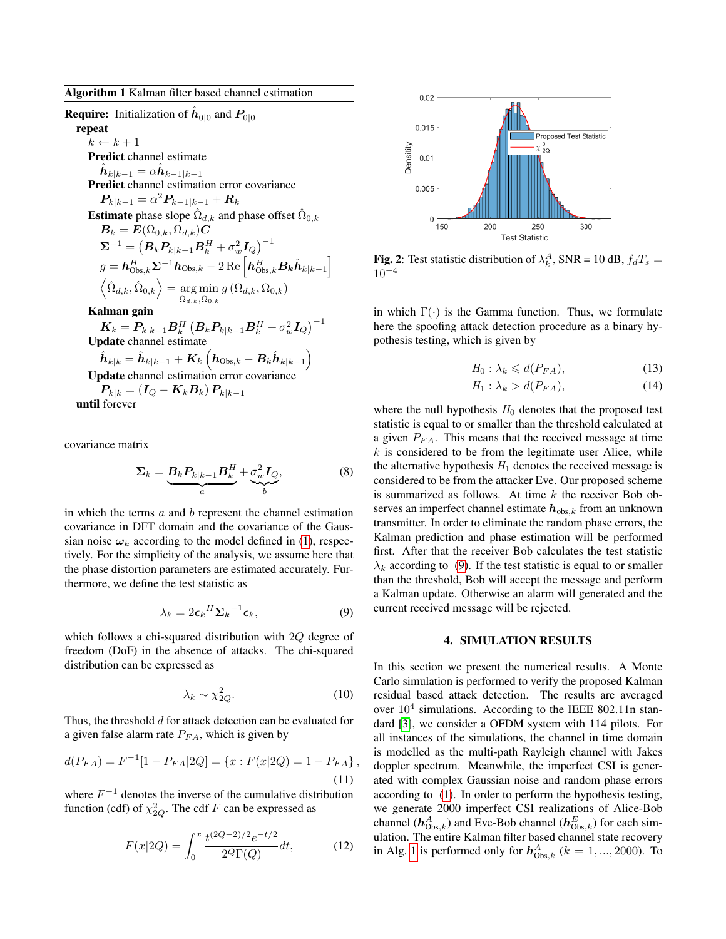<span id="page-2-1"></span>**Require:** Initialization of  $\hat{h}_{0|0}$  and  $P_{0|0}$ repeat  $k \leftarrow k + 1$ Predict channel estimate  $\hat{\boldsymbol{h}}_{k|k-1} = \alpha \hat{\boldsymbol{h}}_{k-1|k-1}$ Predict channel estimation error covariance  $\boldsymbol{P}_{k|k-1} = \alpha^2 \boldsymbol{P}_{k-1|k-1} + \boldsymbol{R}_k$ **Estimate** phase slope  $\hat{\Omega}_{d,k}$  and phase offset  $\hat{\Omega}_{0,k}$  $B_k = E(\Omega_{0,k}, \Omega_{d,k})C$  $\boldsymbol{\Sigma}^{-1} = \left(\boldsymbol{B}_k \boldsymbol{P}_{k|k-1} \boldsymbol{B}_k^H + \sigma_w^2 \boldsymbol{I}_{Q}\right)^{-1}$  $g = \bm{h}_{\mathrm{Obs},k}^H \bm{\Sigma}^{-1} \bm{h}_{\mathrm{Obs},k} - 2 \operatorname{Re}\left[ \bm{h}_{\mathrm{Obs},k}^H \bm{B_k} \hat{\bm{h}}_{k|k-1} \right]$  $\left\langle \hat{\Omega}_{d,k},\hat{\Omega}_{0,k}\right\rangle =\argmin$  $\argmin_{\Omega_{d,k},\Omega_{0,k}} g\left(\Omega_{d,k},\Omega_{0,k}\right)$ Kalman gain  $\boldsymbol{K}_k = \boldsymbol{P}_{k|k-1}\boldsymbol{B}_k^H\left(\boldsymbol{B}_k\boldsymbol{P}_{k|k-1}\boldsymbol{B}_k^H + \sigma_w^2\boldsymbol{I}_Q\right)^{-1}$ Update channel estimate  $\hat{\boldsymbol{h}}_{k|k} = \hat{\boldsymbol{h}}_{k|k-1} + \boldsymbol{K}_k\left(\boldsymbol{h}_{\mathrm{Obs},k} - \boldsymbol{B}_k\hat{\boldsymbol{h}}_{k|k-1}\right)$ Update channel estimation error covariance  $\bm{P}_{k|k} = \left(\bm{I}_Q - \bm{K}_k\bm{B}_k\right)\bm{P}_{k|k-1}$ until forever

covariance matrix

$$
\Sigma_k = \underbrace{B_k P_{k|k-1} B_k^H}_{a} + \underbrace{\sigma_w^2 I_Q}_{b},\tag{8}
$$

in which the terms  $a$  and  $b$  represent the channel estimation covariance in DFT domain and the covariance of the Gaussian noise  $\omega_k$  according to the model defined in [\(1\)](#page-1-3), respectively. For the simplicity of the analysis, we assume here that the phase distortion parameters are estimated accurately. Furthermore, we define the test statistic as

$$
\lambda_k = 2\epsilon_k{}^H \Sigma_k{}^{-1} \epsilon_k,\tag{9}
$$

which follows a chi-squared distribution with 2Q degree of freedom (DoF) in the absence of attacks. The chi-squared distribution can be expressed as

$$
\lambda_k \sim \chi_{2Q}^2. \tag{10}
$$

Thus, the threshold d for attack detection can be evaluated for a given false alarm rate  $P_{FA}$ , which is given by

$$
d(P_{FA}) = F^{-1}[1 - P_{FA}|2Q] = \{x : F(x|2Q) = 1 - P_{FA}\},\tag{11}
$$

where  $F^{-1}$  denotes the inverse of the cumulative distribution function (cdf) of  $\chi^2_{2Q}$ . The cdf F can be expressed as

$$
F(x|2Q) = \int_0^x \frac{t^{(2Q-2)/2}e^{-t/2}}{2^Q \Gamma(Q)} dt,
$$
 (12)

<span id="page-2-3"></span>

**Fig. 2**: Test statistic distribution of  $\lambda_k^A$ , SNR = 10 dB,  $f_dT_s$  =  $10^{-4}$ 

in which  $\Gamma(\cdot)$  is the Gamma function. Thus, we formulate here the spoofing attack detection procedure as a binary hypothesis testing, which is given by

$$
H_0: \lambda_k \leq d(P_{FA}),\tag{13}
$$

$$
H_1: \lambda_k > d(P_{FA}), \tag{14}
$$

where the null hypothesis  $H_0$  denotes that the proposed test statistic is equal to or smaller than the threshold calculated at a given  $P_{FA}$ . This means that the received message at time  $k$  is considered to be from the legitimate user Alice, while the alternative hypothesis  $H_1$  denotes the received message is considered to be from the attacker Eve. Our proposed scheme is summarized as follows. At time  $k$  the receiver Bob observes an imperfect channel estimate  $h_{obs,k}$  from an unknown transmitter. In order to eliminate the random phase errors, the Kalman prediction and phase estimation will be performed first. After that the receiver Bob calculates the test statistic  $\lambda_k$  according to [\(9\)](#page-2-2). If the test statistic is equal to or smaller than the threshold, Bob will accept the message and perform a Kalman update. Otherwise an alarm will generated and the current received message will be rejected.

#### 4. SIMULATION RESULTS

<span id="page-2-4"></span><span id="page-2-2"></span><span id="page-2-0"></span>In this section we present the numerical results. A Monte Carlo simulation is performed to verify the proposed Kalman residual based attack detection. The results are averaged over  $10^4$  simulations. According to the IEEE 802.11n standard [\[3\]](#page-3-2), we consider a OFDM system with 114 pilots. For all instances of the simulations, the channel in time domain is modelled as the multi-path Rayleigh channel with Jakes doppler spectrum. Meanwhile, the imperfect CSI is generated with complex Gaussian noise and random phase errors according to [\(1\)](#page-1-3). In order to perform the hypothesis testing, we generate 2000 imperfect CSI realizations of Alice-Bob channel ( $h^A_{\text{Obs},k}$ ) and Eve-Bob channel ( $h^E_{\text{Obs},k}$ ) for each simulation. The entire Kalman filter based channel state recovery in Alg. [1](#page-2-1) is performed only for  $h^A_{\text{Obs},k}$  ( $k = 1, ..., 2000$ ). To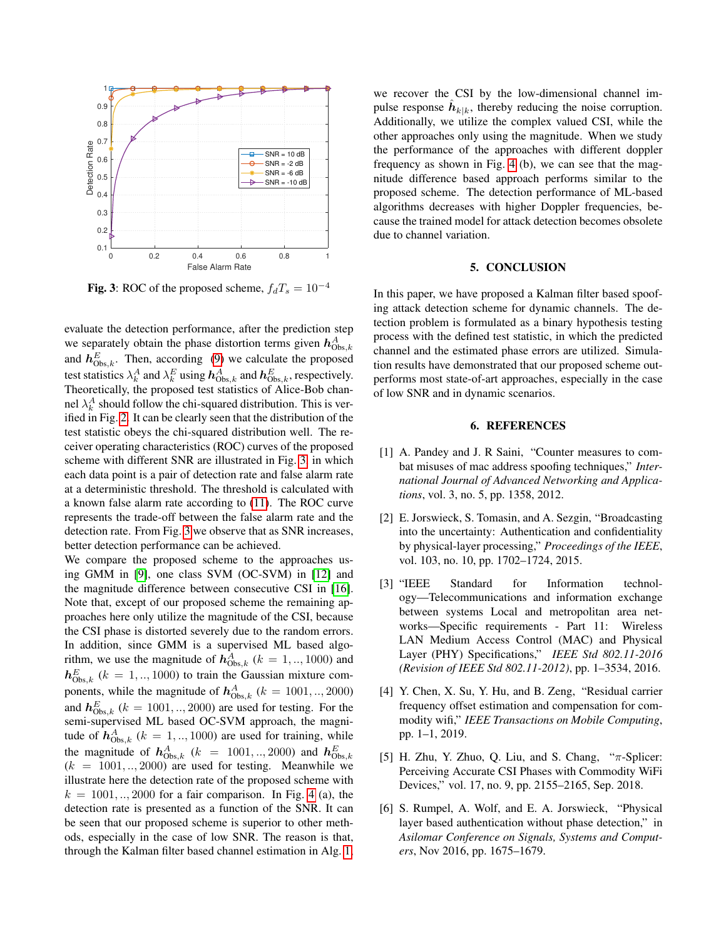<span id="page-3-7"></span>

Fig. 3: ROC of the proposed scheme,  $f_dT_s = 10^{-4}$ 

evaluate the detection performance, after the prediction step we separately obtain the phase distortion terms given  $h_{\text{Obs},k}^A$ and  $h_{\text{Obs},k}^E$ . Then, according [\(9\)](#page-2-2) we calculate the proposed test statistics  $\lambda_k^A$  and  $\lambda_k^E$  using  $h^A_{\text{Obs},k}$  and  $h^E_{\text{Obs},k}$ , respectively. Theoretically, the proposed test statistics of Alice-Bob channel  $\lambda_k^A$  should follow the chi-squared distribution. This is verified in Fig. [2.](#page-2-3) It can be clearly seen that the distribution of the test statistic obeys the chi-squared distribution well. The receiver operating characteristics (ROC) curves of the proposed scheme with different SNR are illustrated in Fig. [3,](#page-3-7) in which each data point is a pair of detection rate and false alarm rate at a deterministic threshold. The threshold is calculated with a known false alarm rate according to [\(11\)](#page-2-4). The ROC curve represents the trade-off between the false alarm rate and the detection rate. From Fig. [3](#page-3-7) we observe that as SNR increases, better detection performance can be achieved.

We compare the proposed scheme to the approaches using GMM in [\[9\]](#page-4-2), one class SVM (OC-SVM) in [\[12\]](#page-4-5) and the magnitude difference between consecutive CSI in [\[16\]](#page-4-9). Note that, except of our proposed scheme the remaining approaches here only utilize the magnitude of the CSI, because the CSI phase is distorted severely due to the random errors. In addition, since GMM is a supervised ML based algorithm, we use the magnitude of  $h^A_{\text{Obs},k}$  ( $k = 1, ..., 1000$ ) and  $h_{\text{Obs},k}^E$  ( $k = 1,..,1000$ ) to train the Gaussian mixture components, while the magnitude of  $h^A_{\text{Obs},k}$  ( $k = 1001,..,2000$ ) and  $h_{\text{Obs},k}^E$  ( $k = 1001,..,2000$ ) are used for testing. For the semi-supervised ML based OC-SVM approach, the magnitude of  $h_{\text{Obs},k}^A$  ( $k = 1,..,1000$ ) are used for training, while the magnitude of  $h_{\text{Obs},k}^A$  ( $k = 1001,..,2000$ ) and  $h_{\text{Obs},k}^E$  $(k = 1001, \ldots, 2000)$  are used for testing. Meanwhile we illustrate here the detection rate of the proposed scheme with  $k = 1001, \ldots, 2000$  for a fair comparison. In Fig. [4](#page-4-10) (a), the detection rate is presented as a function of the SNR. It can be seen that our proposed scheme is superior to other methods, especially in the case of low SNR. The reason is that, through the Kalman filter based channel estimation in Alg. [1,](#page-2-1)

we recover the CSI by the low-dimensional channel impulse response  $\hat{h}_{k|k}$ , thereby reducing the noise corruption. Additionally, we utilize the complex valued CSI, while the other approaches only using the magnitude. When we study the performance of the approaches with different doppler frequency as shown in Fig. [4](#page-4-10) (b), we can see that the magnitude difference based approach performs similar to the proposed scheme. The detection performance of ML-based algorithms decreases with higher Doppler frequencies, because the trained model for attack detection becomes obsolete due to channel variation.

# 5. CONCLUSION

<span id="page-3-6"></span>In this paper, we have proposed a Kalman filter based spoofing attack detection scheme for dynamic channels. The detection problem is formulated as a binary hypothesis testing process with the defined test statistic, in which the predicted channel and the estimated phase errors are utilized. Simulation results have demonstrated that our proposed scheme outperforms most state-of-art approaches, especially in the case of low SNR and in dynamic scenarios.

### 6. REFERENCES

- <span id="page-3-0"></span>[1] A. Pandey and J. R Saini, "Counter measures to combat misuses of mac address spoofing techniques," *International Journal of Advanced Networking and Applications*, vol. 3, no. 5, pp. 1358, 2012.
- <span id="page-3-1"></span>[2] E. Jorswieck, S. Tomasin, and A. Sezgin, "Broadcasting into the uncertainty: Authentication and confidentiality by physical-layer processing," *Proceedings of the IEEE*, vol. 103, no. 10, pp. 1702–1724, 2015.
- <span id="page-3-2"></span>[3] "IEEE Standard for Information technology—Telecommunications and information exchange between systems Local and metropolitan area networks—Specific requirements - Part 11: Wireless LAN Medium Access Control (MAC) and Physical Layer (PHY) Specifications," *IEEE Std 802.11-2016 (Revision of IEEE Std 802.11-2012)*, pp. 1–3534, 2016.
- <span id="page-3-3"></span>[4] Y. Chen, X. Su, Y. Hu, and B. Zeng, "Residual carrier frequency offset estimation and compensation for commodity wifi," *IEEE Transactions on Mobile Computing*, pp. 1–1, 2019.
- <span id="page-3-4"></span>[5] H. Zhu, Y. Zhuo, Q. Liu, and S. Chang, "π-Splicer: Perceiving Accurate CSI Phases with Commodity WiFi Devices," vol. 17, no. 9, pp. 2155–2165, Sep. 2018.
- <span id="page-3-5"></span>[6] S. Rumpel, A. Wolf, and E. A. Jorswieck, "Physical layer based authentication without phase detection," in *Asilomar Conference on Signals, Systems and Computers*, Nov 2016, pp. 1675–1679.